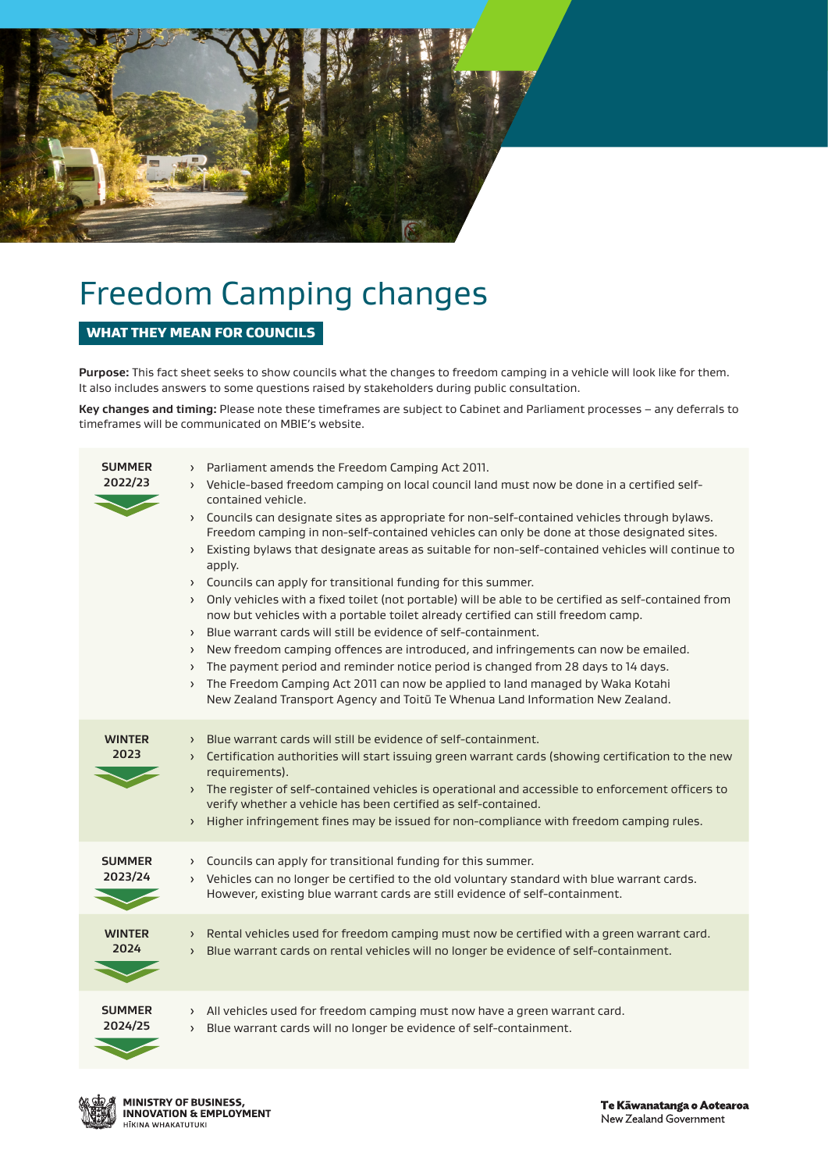

# Freedom Camping changes

## WHAT THEY MEAN FOR COUNCILS

**Purpose:** This fact sheet seeks to show councils what the changes to freedom camping in a vehicle will look like for them. It also includes answers to some questions raised by stakeholders during public consultation.

**Key changes and timing:** Please note these timeframes are subject to Cabinet and Parliament processes – any deferrals to timeframes will be communicated on MBIE's website.

| <b>SUMMER</b><br>2022/23 | > Parliament amends the Freedom Camping Act 2011.<br>> Vehicle-based freedom camping on local council land must now be done in a certified self-<br>contained vehicle.<br>> Councils can designate sites as appropriate for non-self-contained vehicles through bylaws.<br>Freedom camping in non-self-contained vehicles can only be done at those designated sites.<br>> Existing bylaws that designate areas as suitable for non-self-contained vehicles will continue to<br>apply.<br>> Councils can apply for transitional funding for this summer.<br>> Only vehicles with a fixed toilet (not portable) will be able to be certified as self-contained from<br>now but vehicles with a portable toilet already certified can still freedom camp.<br>> Blue warrant cards will still be evidence of self-containment.<br>New freedom camping offences are introduced, and infringements can now be emailed.<br>$\left( \right)$<br>The payment period and reminder notice period is changed from 28 days to 14 days.<br>$\rightarrow$<br>The Freedom Camping Act 2011 can now be applied to land managed by Waka Kotahi<br>$\left( \right)$<br>New Zealand Transport Agency and Toitū Te Whenua Land Information New Zealand. |
|--------------------------|-------------------------------------------------------------------------------------------------------------------------------------------------------------------------------------------------------------------------------------------------------------------------------------------------------------------------------------------------------------------------------------------------------------------------------------------------------------------------------------------------------------------------------------------------------------------------------------------------------------------------------------------------------------------------------------------------------------------------------------------------------------------------------------------------------------------------------------------------------------------------------------------------------------------------------------------------------------------------------------------------------------------------------------------------------------------------------------------------------------------------------------------------------------------------------------------------------------------------------------|
| <b>WINTER</b><br>2023    | Blue warrant cards will still be evidence of self-containment.<br>$\rightarrow$<br>> Certification authorities will start issuing green warrant cards (showing certification to the new<br>requirements).<br>> The register of self-contained vehicles is operational and accessible to enforcement officers to<br>verify whether a vehicle has been certified as self-contained.<br>> Higher infringement fines may be issued for non-compliance with freedom camping rules.                                                                                                                                                                                                                                                                                                                                                                                                                                                                                                                                                                                                                                                                                                                                                       |
| <b>SUMMER</b><br>2023/24 | Councils can apply for transitional funding for this summer.<br>$\left( \right)$<br>> Vehicles can no longer be certified to the old voluntary standard with blue warrant cards.<br>However, existing blue warrant cards are still evidence of self-containment.                                                                                                                                                                                                                                                                                                                                                                                                                                                                                                                                                                                                                                                                                                                                                                                                                                                                                                                                                                    |
| <b>WINTER</b><br>2024    | > Rental vehicles used for freedom camping must now be certified with a green warrant card.<br>Blue warrant cards on rental vehicles will no longer be evidence of self-containment.<br>$\left( \right)$                                                                                                                                                                                                                                                                                                                                                                                                                                                                                                                                                                                                                                                                                                                                                                                                                                                                                                                                                                                                                            |
| <b>SUMMER</b><br>2024/25 | > All vehicles used for freedom camping must now have a green warrant card.<br>Blue warrant cards will no longer be evidence of self-containment.<br>$\rightarrow$                                                                                                                                                                                                                                                                                                                                                                                                                                                                                                                                                                                                                                                                                                                                                                                                                                                                                                                                                                                                                                                                  |

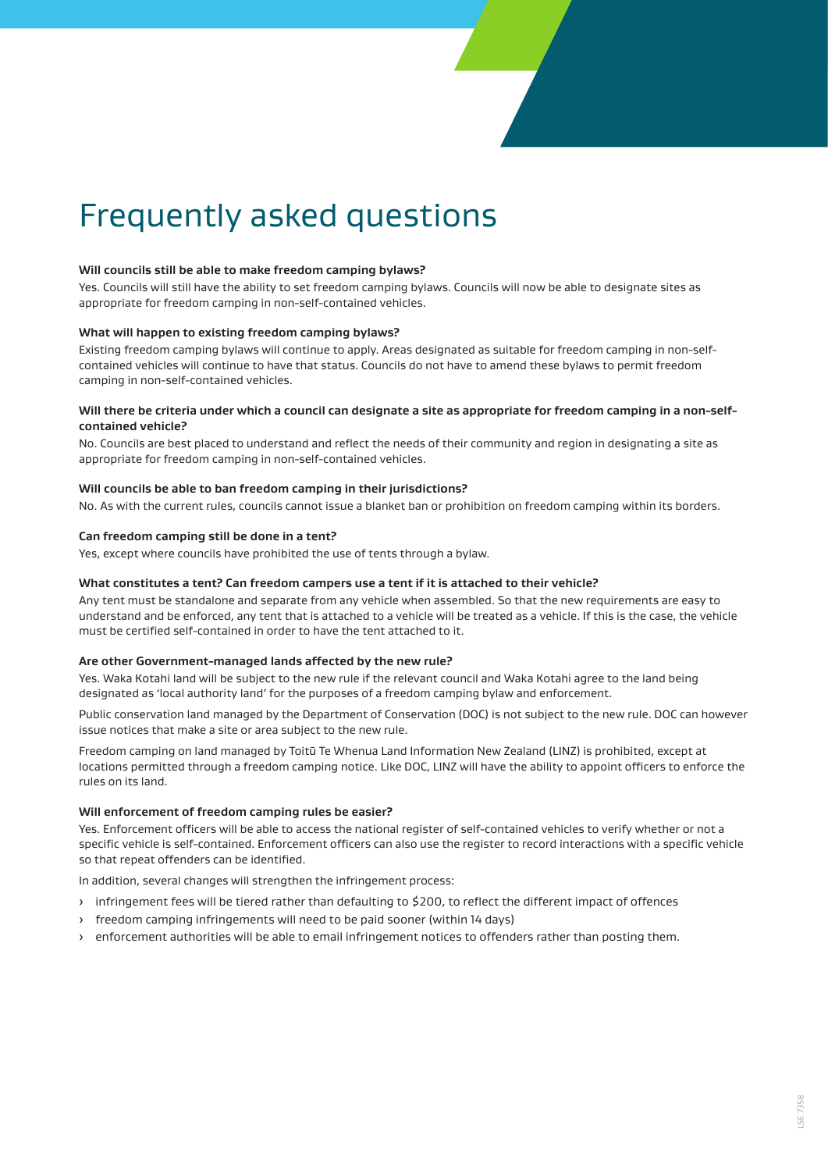# Frequently asked questions

#### **Will councils still be able to make freedom camping bylaws?**

Yes. Councils will still have the ability to set freedom camping bylaws. Councils will now be able to designate sites as appropriate for freedom camping in non-self-contained vehicles.

#### **What will happen to existing freedom camping bylaws?**

Existing freedom camping bylaws will continue to apply. Areas designated as suitable for freedom camping in non-selfcontained vehicles will continue to have that status. Councils do not have to amend these bylaws to permit freedom camping in non-self-contained vehicles.

#### **Will there be criteria under which a council can designate a site as appropriate for freedom camping in a non-selfcontained vehicle?**

No. Councils are best placed to understand and reflect the needs of their community and region in designating a site as appropriate for freedom camping in non-self-contained vehicles.

#### **Will councils be able to ban freedom camping in their jurisdictions?**

No. As with the current rules, councils cannot issue a blanket ban or prohibition on freedom camping within its borders.

#### **Can freedom camping still be done in a tent?**

Yes, except where councils have prohibited the use of tents through a bylaw.

#### **What constitutes a tent? Can freedom campers use a tent if it is attached to their vehicle?**

Any tent must be standalone and separate from any vehicle when assembled. So that the new requirements are easy to understand and be enforced, any tent that is attached to a vehicle will be treated as a vehicle. If this is the case, the vehicle must be certified self-contained in order to have the tent attached to it.

#### **Are other Government-managed lands affected by the new rule?**

Yes. Waka Kotahi land will be subject to the new rule if the relevant council and Waka Kotahi agree to the land being designated as 'local authority land' for the purposes of a freedom camping bylaw and enforcement.

Public conservation land managed by the Department of Conservation (DOC) is not subject to the new rule. DOC can however issue notices that make a site or area subject to the new rule.

Freedom camping on land managed by Toitū Te Whenua Land Information New Zealand (LINZ) is prohibited, except at locations permitted through a freedom camping notice. Like DOC, LINZ will have the ability to appoint officers to enforce the rules on its land.

#### **Will enforcement of freedom camping rules be easier?**

Yes. Enforcement officers will be able to access the national register of self-contained vehicles to verify whether or not a specific vehicle is self-contained. Enforcement officers can also use the register to record interactions with a specific vehicle so that repeat offenders can be identified.

In addition, several changes will strengthen the infringement process:

- › infringement fees will be tiered rather than defaulting to \$200, to reflect the different impact of offences
- › freedom camping infringements will need to be paid sooner (within 14 days)
- › enforcement authorities will be able to email infringement notices to offenders rather than posting them.